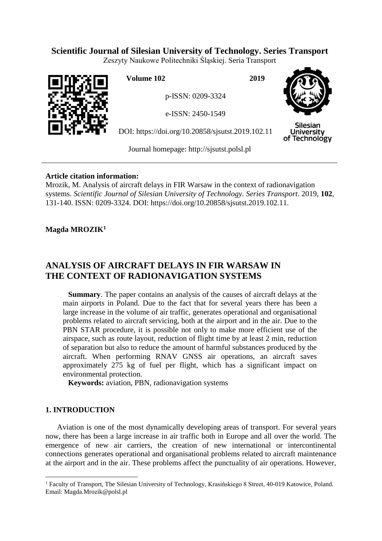# **Scientific Journal of Silesian University of Technology. Series Transport**

Zeszyty Naukowe Politechniki Śląskiej. Seria Transport



**Volume 102 2019**

p-ISSN: 0209-3324

e-ISSN: 2450-1549

DOI: https://doi.org/10.20858/sjsutst.2019.102.11



**Silesian** University of Technology

Journal homepage: [http://sjsutst.polsl.pl](http://sjsutst.polsl.pl/)

### **Article citation information:**

Mrozik, M. Analysis of aircraft delays in FIR Warsaw in the context of radionavigation systems. *Scientific Journal of Silesian University of Technology. Series Transport*. 2019, **102**, 131-140. ISSN: 0209-3324. DOI: https://doi.org/10.20858/sjsutst.2019.102.11.

# **Magda MROZIK<sup>1</sup>**

# **ANALYSIS OF AIRCRAFT DELAYS IN FIR WARSAW IN THE CONTEXT OF RADIONAVIGATION SYSTEMS**

**Summary**. The paper contains an analysis of the causes of aircraft delays at the main airports in Poland. Due to the fact that for several years there has been a large increase in the volume of air traffic, generates operational and organisational problems related to aircraft servicing, both at the airport and in the air. Due to the PBN STAR procedure, it is possible not only to make more efficient use of the airspace, such as route layout, reduction of flight time by at least 2 min, reduction of separation but also to reduce the amount of harmful substances produced by the aircraft. When performing RNAV GNSS air operations, an aircraft saves approximately 275 kg of fuel per flight, which has a significant impact on environmental protection.

**Keywords:** aviation, PBN, radionavigation systems

# **1. INTRODUCTION**

Aviation is one of the most dynamically developing areas of transport. For several years now, there has been a large increase in air traffic both in Europe and all over the world. The emergence of new air carriers, the creation of new international or intercontinental connections generates operational and organisational problems related to aircraft maintenance at the airport and in the air. These problems affect the punctuality of air operations. However,

 $\overline{a}$ <sup>1</sup> Faculty of Transport, The Silesian University of Technology, Krasińskiego 8 Street, 40-019 Katowice, Poland. Email: Magda.Mrozik@polsl.pl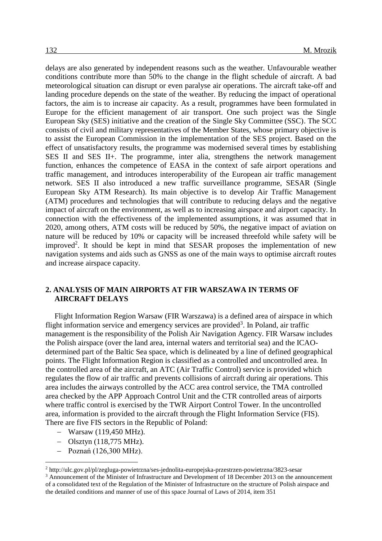delays are also generated by independent reasons such as the weather. Unfavourable weather conditions contribute more than 50% to the change in the flight schedule of aircraft. A bad meteorological situation can disrupt or even paralyse air operations. The aircraft take-off and landing procedure depends on the state of the weather. By reducing the impact of operational factors, the aim is to increase air capacity. As a result, programmes have been formulated in Europe for the efficient management of air transport. One such project was the Single European Sky (SES) initiative and the creation of the Single Sky Committee (SSC). The SCC consists of civil and military representatives of the Member States, whose primary objective is to assist the European Commission in the implementation of the SES project. Based on the effect of unsatisfactory results, the programme was modernised several times by establishing SES II and SES II+. The programme, inter alia, strengthens the network management function, enhances the competence of EASA in the context of safe airport operations and traffic management, and introduces interoperability of the European air traffic management network. SES II also introduced a new traffic surveillance programme, SESAR (Single European Sky ATM Research). Its main objective is to develop Air Traffic Management (ATM) procedures and technologies that will contribute to reducing delays and the negative impact of aircraft on the environment, as well as to increasing airspace and airport capacity. In connection with the effectiveness of the implemented assumptions, it was assumed that in 2020, among others, ATM costs will be reduced by 50%, the negative impact of aviation on nature will be reduced by 10% or capacity will be increased threefold while safety will be improved<sup>2</sup>. It should be kept in mind that SESAR proposes the implementation of new navigation systems and aids such as GNSS as one of the main ways to optimise aircraft routes and increase airspace capacity.

#### **2. ANALYSIS OF MAIN AIRPORTS AT FIR WARSZAWA IN TERMS OF AIRCRAFT DELAYS**

Flight Information Region Warsaw (FIR Warszawa) is a defined area of airspace in which flight information service and emergency services are provided<sup>3</sup>. In Poland, air traffic management is the responsibility of the Polish Air Navigation Agency. FIR Warsaw includes the Polish airspace (over the land area, internal waters and territorial sea) and the ICAOdetermined part of the Baltic Sea space, which is delineated by a line of defined geographical points. The Flight Information Region is classified as a controlled and uncontrolled area. In the controlled area of the aircraft, an ATC (Air Traffic Control) service is provided which regulates the flow of air traffic and prevents collisions of aircraft during air operations. This area includes the airways controlled by the ACC area control service, the TMA controlled area checked by the APP Approach Control Unit and the CTR controlled areas of airports where traffic control is exercised by the TWR Airport Control Tower. In the uncontrolled area, information is provided to the aircraft through the Flight Information Service (FIS). There are five FIS sectors in the Republic of Poland:

- Warsaw (119,450 MHz).
- $-$  Olsztyn (118,775 MHz).
- $-$  Poznań (126,300 MHz).

 $\overline{a}$ 

<sup>2</sup> http://ulc.gov.pl/pl/zegluga-powietrzna/ses-jednolita-europejska-przestrzen-powietrzna/3823-sesar

<sup>3</sup> Announcement of the Minister of Infrastructure and Development of 18 December 2013 on the announcement of a consolidated text of the Regulation of the Minister of Infrastructure on the structure of Polish airspace and the detailed conditions and manner of use of this space Journal of Laws of 2014, item 351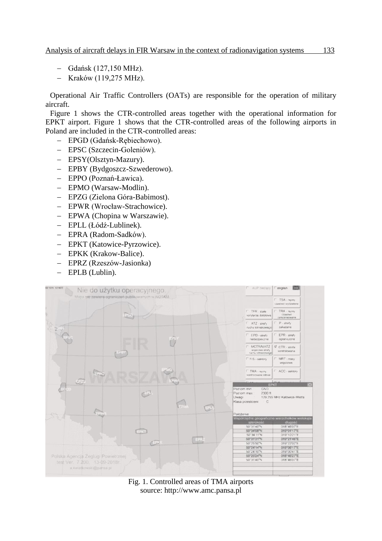- Gdańsk (127,150 MHz).
- Kraków (119,275 MHz).

Operational Air Traffic Controllers (OATs) are responsible for the operation of military aircraft.

Figure 1 shows the CTR-controlled areas together with the operational information for EPKT airport. Figure 1 shows that the CTR-controlled areas of the following airports in Poland are included in the CTR-controlled areas:

- EPGD (Gdańsk-Rębiechowo).
- EPSC (Szczecin-Goleniów).
- EPSY(Olsztyn-Mazury).
- EPBY (Bydgoszcz-Szwederowo).
- EPPO (Poznań-Ławica).
- EPMO (Warsaw-Modlin).
- EPZG (Zielona Góra-Babimost).
- EPWR (Wrocław-Strachowice).
- EPWA (Chopina w Warszawie).
- EPLL (Łódź-Lublinek).
- EPRA (Radom-Sadków).
- EPKT (Katowice-Pyrzowice).
- EPKK (Krakow-Balice).
- EPRZ (Rzeszów-Jasionka)
- EPLB (Lublin).



Fig. 1. Controlled areas of TMA airports source: http://www.amc.pansa.pl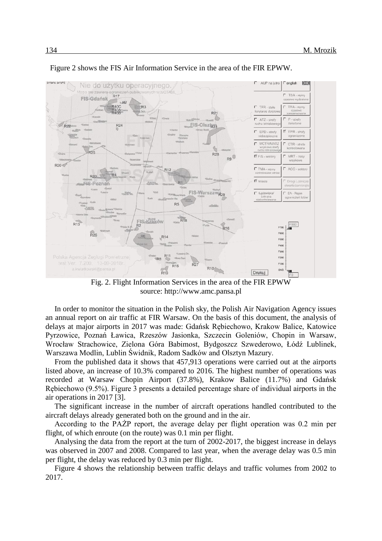

Figure 2 shows the FIS Air Information Service in the area of the FIR EPWW.

Fig. 2. Flight Information Services in the area of the FIR EPWW source: http://www.amc.pansa.pl

In order to monitor the situation in the Polish sky, the Polish Air Navigation Agency issues an annual report on air traffic at FIR Warsaw. On the basis of this document, the analysis of delays at major airports in 2017 was made: Gdańsk Rębiechowo, Krakow Balice, Katowice Pyrzowice, Poznań Ławica, Rzeszów Jasionka, Szczecin Goleniów, Chopin in Warsaw, Wrocław Strachowice, Zielona Góra Babimost, Bydgoszcz Szwederowo, Łódź Lublinek, Warszawa Modlin, Lublin Świdnik, Radom Sadków and Olsztyn Mazury.

From the published data it shows that 457,913 operations were carried out at the airports listed above, an increase of 10.3% compared to 2016. The highest number of operations was recorded at Warsaw Chopin Airport (37.8%), Krakow Balice (11.7%) and Gdańsk Rębiechowo (9.5%). Figure 3 presents a detailed percentage share of individual airports in the air operations in 2017 [3].

The significant increase in the number of aircraft operations handled contributed to the aircraft delays already generated both on the ground and in the air.

According to the PAŻP report, the average delay per flight operation was 0.2 min per flight, of which enroute (on the route) was 0.1 min per flight.

Analysing the data from the report at the turn of 2002-2017, the biggest increase in delays was observed in 2007 and 2008. Compared to last year, when the average delay was 0.5 min per flight, the delay was reduced by 0.3 min per flight.

Figure 4 shows the relationship between traffic delays and traffic volumes from 2002 to 2017.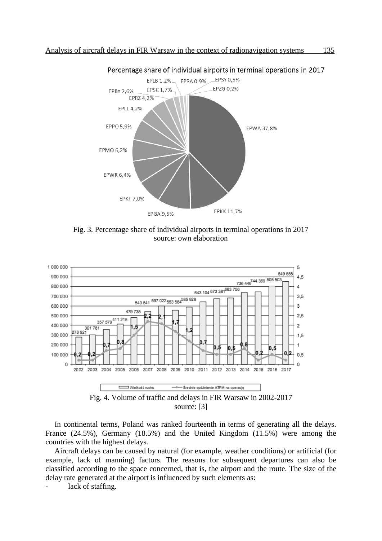

Percentage share of individual airports in terminal operations in 2017

Fig. 3. Percentage share of individual airports in terminal operations in 2017 source: own elaboration



In continental terms, Poland was ranked fourteenth in terms of generating all the delays. France (24.5%), Germany (18.5%) and the United Kingdom (11.5%) were among the countries with the highest delays.

Aircraft delays can be caused by natural (for example, weather conditions) or artificial (for example, lack of manning) factors. The reasons for subsequent departures can also be classified according to the space concerned, that is, the airport and the route. The size of the delay rate generated at the airport is influenced by such elements as:

lack of staffing.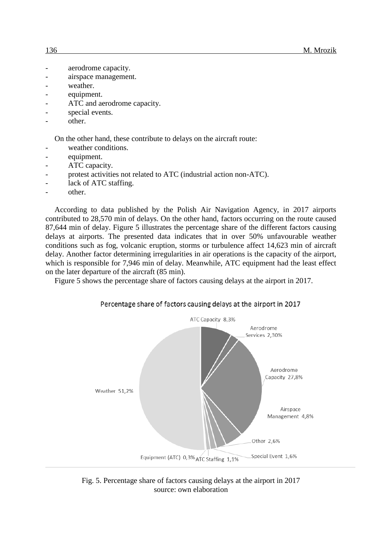- aerodrome capacity.
- airspace management.
- weather.
- equipment.
- ATC and aerodrome capacity.
- special events.
- other.

On the other hand, these contribute to delays on the aircraft route:

- weather conditions.
- equipment.
- ATC capacity.
- protest activities not related to ATC (industrial action non-ATC).
- lack of ATC staffing.
- other.

According to data published by the Polish Air Navigation Agency, in 2017 airports contributed to 28,570 min of delays. On the other hand, factors occurring on the route caused 87,644 min of delay. Figure 5 illustrates the percentage share of the different factors causing delays at airports. The presented data indicates that in over 50% unfavourable weather conditions such as fog, volcanic eruption, storms or turbulence affect 14,623 min of aircraft delay. Another factor determining irregularities in air operations is the capacity of the airport, which is responsible for 7,946 min of delay. Meanwhile, ATC equipment had the least effect on the later departure of the aircraft (85 min).

Figure 5 shows the percentage share of factors causing delays at the airport in 2017.





Fig. 5. Percentage share of factors causing delays at the airport in 2017 source: own elaboration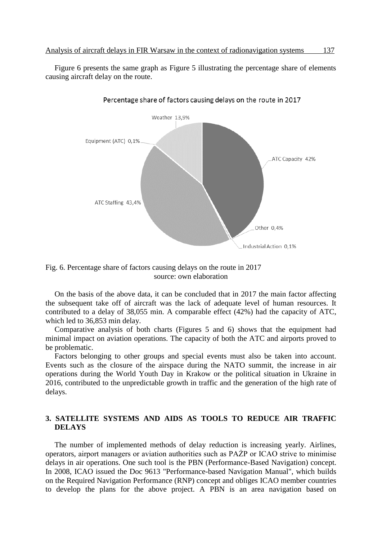Figure 6 presents the same graph as Figure 5 illustrating the percentage share of elements causing aircraft delay on the route.



Percentage share of factors causing delays on the route in 2017

Fig. 6. Percentage share of factors causing delays on the route in 2017 source: own elaboration

On the basis of the above data, it can be concluded that in 2017 the main factor affecting the subsequent take off of aircraft was the lack of adequate level of human resources. It contributed to a delay of 38,055 min. A comparable effect (42%) had the capacity of ATC, which led to 36,853 min delay.

Comparative analysis of both charts (Figures 5 and 6) shows that the equipment had minimal impact on aviation operations. The capacity of both the ATC and airports proved to be problematic.

Factors belonging to other groups and special events must also be taken into account. Events such as the closure of the airspace during the NATO summit, the increase in air operations during the World Youth Day in Krakow or the political situation in Ukraine in 2016, contributed to the unpredictable growth in traffic and the generation of the high rate of delays.

### **3. SATELLITE SYSTEMS AND AIDS AS TOOLS TO REDUCE AIR TRAFFIC DELAYS**

The number of implemented methods of delay reduction is increasing yearly. Airlines, operators, airport managers or aviation authorities such as PAŻP or ICAO strive to minimise delays in air operations. One such tool is the PBN (Performance-Based Navigation) concept. In 2008, ICAO issued the Doc 9613 "Performance-based Navigation Manual", which builds on the Required Navigation Performance (RNP) concept and obliges ICAO member countries to develop the plans for the above project. A PBN is an area navigation based on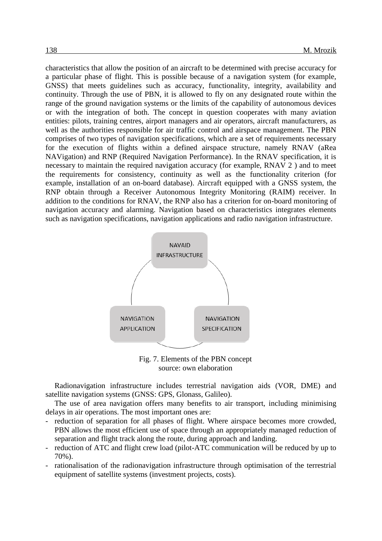characteristics that allow the position of an aircraft to be determined with precise accuracy for a particular phase of flight. This is possible because of a navigation system (for example, GNSS) that meets guidelines such as accuracy, functionality, integrity, availability and continuity. Through the use of PBN, it is allowed to fly on any designated route within the range of the ground navigation systems or the limits of the capability of autonomous devices or with the integration of both. The concept in question cooperates with many aviation entities: pilots, training centres, airport managers and air operators, aircraft manufacturers, as well as the authorities responsible for air traffic control and airspace management. The PBN comprises of two types of navigation specifications, which are a set of requirements necessary for the execution of flights within a defined airspace structure, namely RNAV (aRea NAVigation) and RNP (Required Navigation Performance). In the RNAV specification, it is necessary to maintain the required navigation accuracy (for example, RNAV 2 ) and to meet the requirements for consistency, continuity as well as the functionality criterion (for example, installation of an on-board database). Aircraft equipped with a GNSS system, the RNP obtain through a Receiver Autonomous Integrity Monitoring (RAIM) receiver. In addition to the conditions for RNAV, the RNP also has a criterion for on-board monitoring of navigation accuracy and alarming. Navigation based on characteristics integrates elements such as navigation specifications, navigation applications and radio navigation infrastructure.



Fig. 7. Elements of the PBN concept source: own elaboration

Radionavigation infrastructure includes terrestrial navigation aids (VOR, DME) and satellite navigation systems (GNSS: GPS, Glonass, Galileo).

The use of area navigation offers many benefits to air transport, including minimising delays in air operations. The most important ones are:

- reduction of separation for all phases of flight. Where airspace becomes more crowded, PBN allows the most efficient use of space through an appropriately managed reduction of separation and flight track along the route, during approach and landing.
- reduction of ATC and flight crew load (pilot-ATC communication will be reduced by up to 70%).
- rationalisation of the radionavigation infrastructure through optimisation of the terrestrial equipment of satellite systems (investment projects, costs).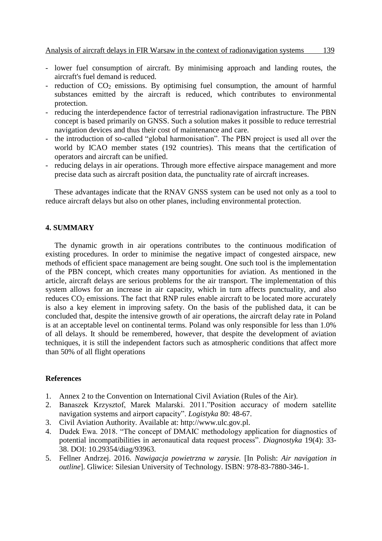- lower fuel consumption of aircraft. By minimising approach and landing routes, the aircraft's fuel demand is reduced.
- reduction of  $CO<sub>2</sub>$  emissions. By optimising fuel consumption, the amount of harmful substances emitted by the aircraft is reduced, which contributes to environmental protection.
- reducing the interdependence factor of terrestrial radionavigation infrastructure. The PBN concept is based primarily on GNSS. Such a solution makes it possible to reduce terrestrial navigation devices and thus their cost of maintenance and care.
- the introduction of so-called "global harmonisation". The PBN project is used all over the world by ICAO member states (192 countries). This means that the certification of operators and aircraft can be unified.
- reducing delays in air operations. Through more effective airspace management and more precise data such as aircraft position data, the punctuality rate of aircraft increases.

These advantages indicate that the RNAV GNSS system can be used not only as a tool to reduce aircraft delays but also on other planes, including environmental protection.

#### **4. SUMMARY**

The dynamic growth in air operations contributes to the continuous modification of existing procedures. In order to minimise the negative impact of congested airspace, new methods of efficient space management are being sought. One such tool is the implementation of the PBN concept, which creates many opportunities for aviation. As mentioned in the article, aircraft delays are serious problems for the air transport. The implementation of this system allows for an increase in air capacity, which in turn affects punctuality, and also reduces CO<sub>2</sub> emissions. The fact that RNP rules enable aircraft to be located more accurately is also a key element in improving safety. On the basis of the published data, it can be concluded that, despite the intensive growth of air operations, the aircraft delay rate in Poland is at an acceptable level on continental terms. Poland was only responsible for less than 1.0% of all delays. It should be remembered, however, that despite the development of aviation techniques, it is still the independent factors such as atmospheric conditions that affect more than 50% of all flight operations

#### **References**

- 1. Annex 2 to the Convention on International Civil Aviation (Rules of the Air).
- 2. Banaszek Krzysztof, Marek Malarski. 2011."Position accuracy of modern satellite navigation systems and airport capacity". *Logistyka* 80: 48-67.
- 3. Civil Aviation Authority. Available at: [http://www.ulc.gov.pl.](http://www.ulc.gov.pl/)
- 4. Dudek Ewa. 2018. "The concept of DMAIC methodology application for diagnostics of potential incompatibilities in aeronautical data request process". *Diagnostyka* 19(4): 33- 38. DOI: 10.29354/diag/93963.
- 5. Fellner Andrzej. 2016. *Nawigacja powietrzna w zarysie.* [In Polish: *Air navigation in outline*]. Gliwice: Silesian University of Technology. ISBN: 978-83-7880-346-1.